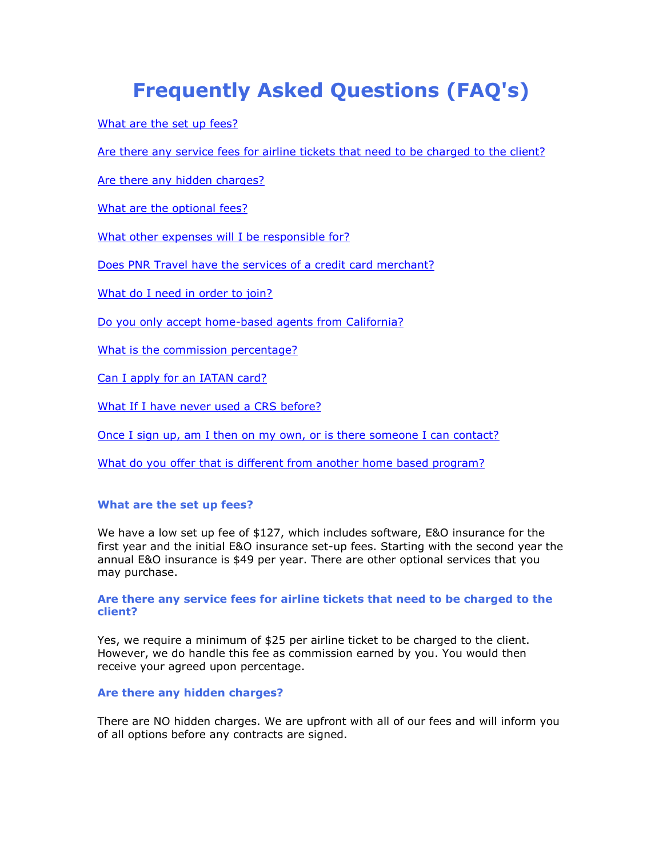# **Frequently Asked Questions (FAQ's)**

[What are the set up fees?](http://www.pnrtravel.images.vacationport.com/#1) 

[Are there any service fees for airline tickets that need to be charged to the client?](http://www.pnrtravel.images.vacationport.com/#1) 

[Are there any hidden charges?](http://www.pnrtravel.images.vacationport.com/#3) 

[What are the optional fees?](http://www.pnrtravel.images.vacationport.com/#3) 

[What other expenses will I be responsible for?](http://www.pnrtravel.images.vacationport.com/#5)

[Does PNR Travel have the services of a credit card merchant?](http://www.pnrtravel.images.vacationport.com/#6) 

[What do I need in order to join?](http://www.pnrtravel.images.vacationport.com/#6) 

[Do you only accept home-based agents from California?](http://www.pnrtravel.images.vacationport.com/#8) 

[What is the commission percentage?](http://www.pnrtravel.images.vacationport.com/#8) 

[Can I apply for an IATAN card?](http://www.pnrtravel.images.vacationport.com/#10) 

[What If I have never used a CRS before?](http://www.pnrtravel.images.vacationport.com/#10) 

[Once I sign up, am I then on my own, or is there someone I can contact?](http://www.pnrtravel.images.vacationport.com/#12) 

What do you offer that is different from another home based program?

## **What are the set up fees?**

We have a low set up fee of \$127, which includes software, E&O insurance for the first year and the initial E&O insurance set-up fees. Starting with the second year the annual E&O insurance is \$49 per year. There are other optional services that you may purchase.

## **Are there any service fees for airline tickets that need to be charged to the client?**

Yes, we require a minimum of \$25 per airline ticket to be charged to the client. However, we do handle this fee as commission earned by you. You would then receive your agreed upon percentage.

## **Are there any hidden charges?**

There are NO hidden charges. We are upfront with all of our fees and will inform you of all options before any contracts are signed.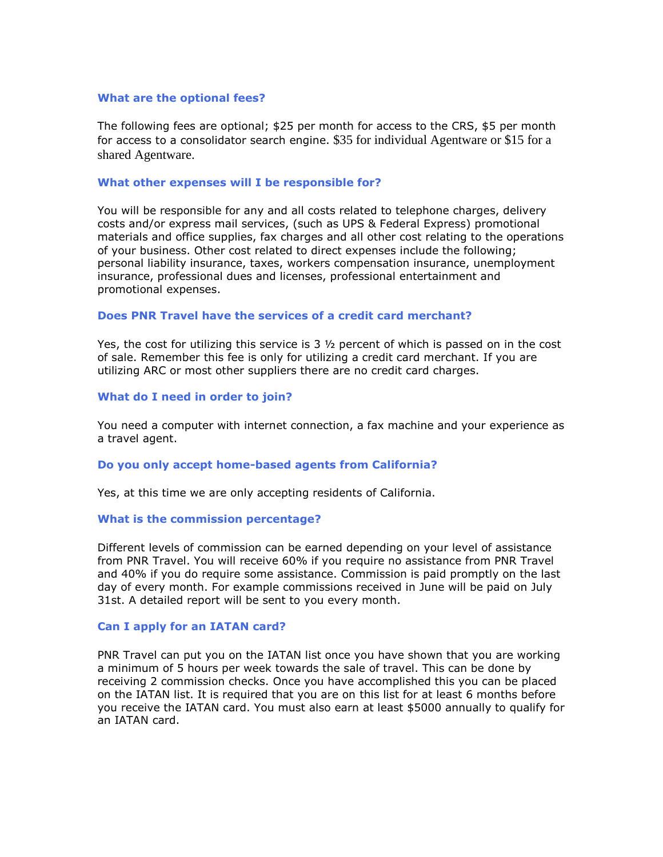## **What are the optional fees?**

The following fees are optional; \$25 per month for access to the CRS, \$5 per month for access to a consolidator search engine. \$35 for individual Agentware or \$15 for a shared Agentware.

### **What other expenses will I be responsible for?**

You will be responsible for any and all costs related to telephone charges, delivery costs and/or express mail services, (such as UPS & Federal Express) promotional materials and office supplies, fax charges and all other cost relating to the operations of your business. Other cost related to direct expenses include the following; personal liability insurance, taxes, workers compensation insurance, unemployment insurance, professional dues and licenses, professional entertainment and promotional expenses.

# **Does PNR Travel have the services of a credit card merchant?**

Yes, the cost for utilizing this service is  $3\frac{1}{2}$  percent of which is passed on in the cost of sale. Remember this fee is only for utilizing a credit card merchant. If you are utilizing ARC or most other suppliers there are no credit card charges.

## **What do I need in order to join?**

You need a computer with internet connection, a fax machine and your experience as a travel agent.

## **Do you only accept home-based agents from California?**

Yes, at this time we are only accepting residents of California.

#### **What is the commission percentage?**

Different levels of commission can be earned depending on your level of assistance from PNR Travel. You will receive 60% if you require no assistance from PNR Travel and 40% if you do require some assistance. Commission is paid promptly on the last day of every month. For example commissions received in June will be paid on July 31st. A detailed report will be sent to you every month.

### **Can I apply for an IATAN card?**

PNR Travel can put you on the IATAN list once you have shown that you are working a minimum of 5 hours per week towards the sale of travel. This can be done by receiving 2 commission checks. Once you have accomplished this you can be placed on the IATAN list. It is required that you are on this list for at least 6 months before you receive the IATAN card. You must also earn at least \$5000 annually to qualify for an IATAN card.